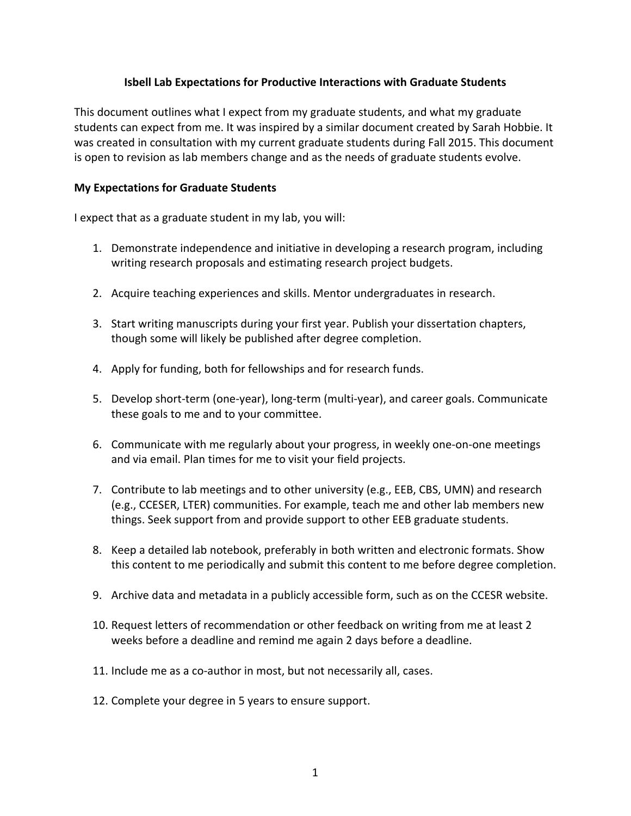## **Isbell Lab Expectations for Productive Interactions with Graduate Students**

This document outlines what I expect from my graduate students, and what my graduate students can expect from me. It was inspired by a similar document created by Sarah Hobbie. It was created in consultation with my current graduate students during Fall 2015. This document is open to revision as lab members change and as the needs of graduate students evolve.

## **My Expectations for Graduate Students**

I expect that as a graduate student in my lab, you will:

- 1. Demonstrate independence and initiative in developing a research program, including writing research proposals and estimating research project budgets.
- 2. Acquire teaching experiences and skills. Mentor undergraduates in research.
- 3. Start writing manuscripts during your first year. Publish your dissertation chapters, though some will likely be published after degree completion.
- 4. Apply for funding, both for fellowships and for research funds.
- 5. Develop short-term (one-year), long-term (multi-year), and career goals. Communicate these goals to me and to your committee.
- 6. Communicate with me regularly about your progress, in weekly one-on-one meetings and via email. Plan times for me to visit your field projects.
- 7. Contribute to lab meetings and to other university (e.g., EEB, CBS, UMN) and research (e.g., CCESER, LTER) communities. For example, teach me and other lab members new things. Seek support from and provide support to other EEB graduate students.
- 8. Keep a detailed lab notebook, preferably in both written and electronic formats. Show this content to me periodically and submit this content to me before degree completion.
- 9. Archive data and metadata in a publicly accessible form, such as on the CCESR website.
- 10. Request letters of recommendation or other feedback on writing from me at least 2 weeks before a deadline and remind me again 2 days before a deadline.
- 11. Include me as a co-author in most, but not necessarily all, cases.
- 12. Complete your degree in 5 years to ensure support.